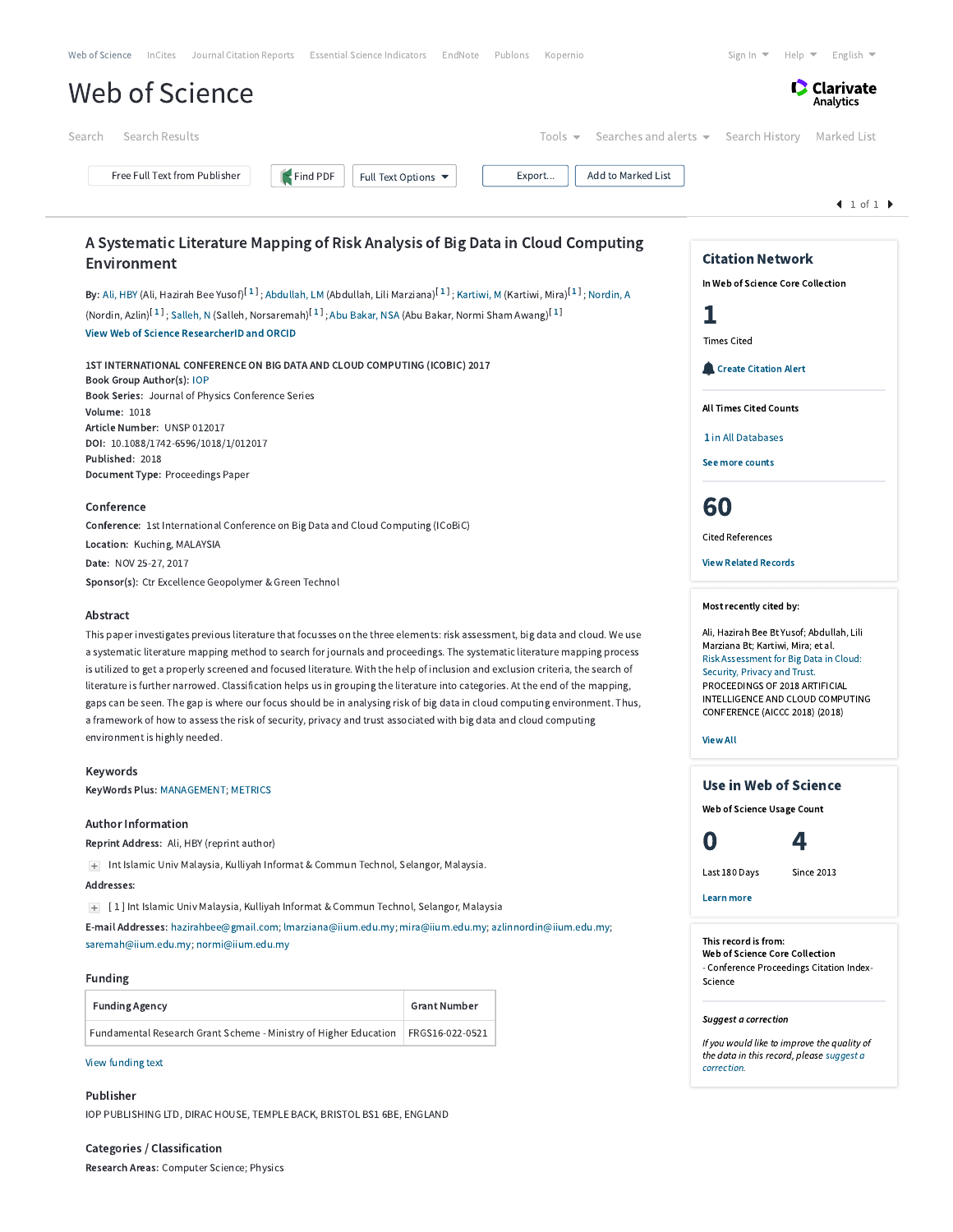| Web of Science                                                                                                                                                                                                                                                                                                                                                                                                                                                                                                                                                                                                                                                                                                                                                                                                    |                     |                            |                                                                                                                                                                                                                                                                                      |                                              | Sign In $\blacktriangledown$<br>English $\blacktriangledown$<br>Help $\blacktriangledown$ |  |  |
|-------------------------------------------------------------------------------------------------------------------------------------------------------------------------------------------------------------------------------------------------------------------------------------------------------------------------------------------------------------------------------------------------------------------------------------------------------------------------------------------------------------------------------------------------------------------------------------------------------------------------------------------------------------------------------------------------------------------------------------------------------------------------------------------------------------------|---------------------|----------------------------|--------------------------------------------------------------------------------------------------------------------------------------------------------------------------------------------------------------------------------------------------------------------------------------|----------------------------------------------|-------------------------------------------------------------------------------------------|--|--|
|                                                                                                                                                                                                                                                                                                                                                                                                                                                                                                                                                                                                                                                                                                                                                                                                                   |                     |                            |                                                                                                                                                                                                                                                                                      |                                              | Clarivate<br>Analytics                                                                    |  |  |
| Search Results<br>Search                                                                                                                                                                                                                                                                                                                                                                                                                                                                                                                                                                                                                                                                                                                                                                                          |                     | Tools $\blacktriangledown$ |                                                                                                                                                                                                                                                                                      | Searches and alerts $\bullet$ Search History | Marked List                                                                               |  |  |
| Free Full Text from Publisher<br>Find PDF                                                                                                                                                                                                                                                                                                                                                                                                                                                                                                                                                                                                                                                                                                                                                                         | Full Text Options ▼ | Export                     | Add to Marked List                                                                                                                                                                                                                                                                   |                                              |                                                                                           |  |  |
|                                                                                                                                                                                                                                                                                                                                                                                                                                                                                                                                                                                                                                                                                                                                                                                                                   |                     |                            |                                                                                                                                                                                                                                                                                      |                                              | 1 of 1                                                                                    |  |  |
| A Systematic Literature Mapping of Risk Analysis of Big Data in Cloud Computing                                                                                                                                                                                                                                                                                                                                                                                                                                                                                                                                                                                                                                                                                                                                   |                     |                            |                                                                                                                                                                                                                                                                                      | <b>Citation Network</b>                      |                                                                                           |  |  |
| Environment                                                                                                                                                                                                                                                                                                                                                                                                                                                                                                                                                                                                                                                                                                                                                                                                       |                     |                            |                                                                                                                                                                                                                                                                                      | In Web of Science Core Collection            |                                                                                           |  |  |
| By: Ali, HBY (Ali, Hazirah Bee Yusof) <sup>[1]</sup> ; Abdullah, LM (Abdullah, Lili Marziana) <sup>[1]</sup> ; Kartiwi, M (Kartiwi, Mira) <sup>[1]</sup> ; Nordin, A                                                                                                                                                                                                                                                                                                                                                                                                                                                                                                                                                                                                                                              |                     |                            |                                                                                                                                                                                                                                                                                      |                                              |                                                                                           |  |  |
| (Nordin, Azlin) <sup>[1]</sup> ; Salleh, N (Salleh, Norsaremah) <sup>[1]</sup> ; Abu Bakar, NSA (Abu Bakar, Normi Sham Awang) <sup>[1]</sup>                                                                                                                                                                                                                                                                                                                                                                                                                                                                                                                                                                                                                                                                      |                     |                            |                                                                                                                                                                                                                                                                                      | 1                                            |                                                                                           |  |  |
| View Web of Science ResearcherID and ORCID                                                                                                                                                                                                                                                                                                                                                                                                                                                                                                                                                                                                                                                                                                                                                                        |                     |                            |                                                                                                                                                                                                                                                                                      | <b>Times Cited</b>                           |                                                                                           |  |  |
| 1ST INTERNATIONAL CONFERENCE ON BIG DATA AND CLOUD COMPUTING (ICOBIC) 2017<br>Book Group Author(s): IOP                                                                                                                                                                                                                                                                                                                                                                                                                                                                                                                                                                                                                                                                                                           |                     |                            |                                                                                                                                                                                                                                                                                      | <b>Create Citation Alert</b>                 |                                                                                           |  |  |
| Book Series: Journal of Physics Conference Series                                                                                                                                                                                                                                                                                                                                                                                                                                                                                                                                                                                                                                                                                                                                                                 |                     |                            |                                                                                                                                                                                                                                                                                      |                                              | <b>All Times Cited Counts</b>                                                             |  |  |
| <b>Volume: 1018</b><br>Article Number: UNSP 012017                                                                                                                                                                                                                                                                                                                                                                                                                                                                                                                                                                                                                                                                                                                                                                |                     |                            |                                                                                                                                                                                                                                                                                      |                                              |                                                                                           |  |  |
| DOI: 10.1088/1742-6596/1018/1/012017                                                                                                                                                                                                                                                                                                                                                                                                                                                                                                                                                                                                                                                                                                                                                                              |                     |                            |                                                                                                                                                                                                                                                                                      | 1 in All Databases                           |                                                                                           |  |  |
| Published: 2018<br>Document Type: Proceedings Paper                                                                                                                                                                                                                                                                                                                                                                                                                                                                                                                                                                                                                                                                                                                                                               |                     |                            |                                                                                                                                                                                                                                                                                      | See more counts                              |                                                                                           |  |  |
|                                                                                                                                                                                                                                                                                                                                                                                                                                                                                                                                                                                                                                                                                                                                                                                                                   |                     |                            |                                                                                                                                                                                                                                                                                      |                                              |                                                                                           |  |  |
| Conference                                                                                                                                                                                                                                                                                                                                                                                                                                                                                                                                                                                                                                                                                                                                                                                                        |                     |                            |                                                                                                                                                                                                                                                                                      | 60                                           |                                                                                           |  |  |
| Conference: 1st International Conference on Big Data and Cloud Computing (ICoBiC)                                                                                                                                                                                                                                                                                                                                                                                                                                                                                                                                                                                                                                                                                                                                 |                     |                            |                                                                                                                                                                                                                                                                                      | <b>Cited References</b>                      |                                                                                           |  |  |
| Location: Kuching, MALAYSIA                                                                                                                                                                                                                                                                                                                                                                                                                                                                                                                                                                                                                                                                                                                                                                                       |                     |                            | <b>View Related Records</b>                                                                                                                                                                                                                                                          |                                              |                                                                                           |  |  |
| Date: NOV 25-27, 2017<br>Sponsor(s): Ctr Excellence Geopolymer & Green Technol                                                                                                                                                                                                                                                                                                                                                                                                                                                                                                                                                                                                                                                                                                                                    |                     |                            |                                                                                                                                                                                                                                                                                      |                                              |                                                                                           |  |  |
|                                                                                                                                                                                                                                                                                                                                                                                                                                                                                                                                                                                                                                                                                                                                                                                                                   |                     |                            |                                                                                                                                                                                                                                                                                      |                                              |                                                                                           |  |  |
| Abstract                                                                                                                                                                                                                                                                                                                                                                                                                                                                                                                                                                                                                                                                                                                                                                                                          |                     |                            |                                                                                                                                                                                                                                                                                      | Most recently cited by:                      |                                                                                           |  |  |
| This paper investigates previous literature that focusses on the three elements: risk assessment, big data and cloud. We use<br>a systematic literature mapping method to search for journals and proceedings. The systematic literature mapping process<br>is utilized to get a properly screened and focused literature. With the help of inclusion and exclusion criteria, the search of<br>literature is further narrowed. Classification helps us in grouping the literature into categories. At the end of the mapping,<br>gaps can be seen. The gap is where our focus should be in analysing risk of big data in cloud computing environment. Thus,<br>a framework of how to assess the risk of security, privacy and trust associated with big data and cloud computing<br>environment is highly needed. |                     |                            | Ali, Hazirah Bee Bt Yusof; Abdullah, Lili<br>Marziana Bt; Kartiwi, Mira; et al.<br>Risk Assessment for Big Data in Cloud:<br>Security, Privacy and Trust.<br>PROCEEDINGS OF 2018 ARTIFICIAL<br>INTELLIGENCE AND CLOUD COMPUTING<br>CONFERENCE (AICCC 2018) (2018)<br><b>View All</b> |                                              |                                                                                           |  |  |
| Keywords                                                                                                                                                                                                                                                                                                                                                                                                                                                                                                                                                                                                                                                                                                                                                                                                          |                     |                            |                                                                                                                                                                                                                                                                                      |                                              |                                                                                           |  |  |
| KeyWords Plus: MANAGEMENT; METRICS                                                                                                                                                                                                                                                                                                                                                                                                                                                                                                                                                                                                                                                                                                                                                                                |                     |                            |                                                                                                                                                                                                                                                                                      |                                              | Use in Web of Science                                                                     |  |  |
|                                                                                                                                                                                                                                                                                                                                                                                                                                                                                                                                                                                                                                                                                                                                                                                                                   |                     |                            |                                                                                                                                                                                                                                                                                      | Web of Science Usage Count                   |                                                                                           |  |  |
| <b>Author Information</b>                                                                                                                                                                                                                                                                                                                                                                                                                                                                                                                                                                                                                                                                                                                                                                                         |                     |                            |                                                                                                                                                                                                                                                                                      |                                              |                                                                                           |  |  |
| Reprint Address: Ali, HBY (reprint author)                                                                                                                                                                                                                                                                                                                                                                                                                                                                                                                                                                                                                                                                                                                                                                        |                     |                            |                                                                                                                                                                                                                                                                                      | 0                                            | 4                                                                                         |  |  |
| Int Islamic Univ Malaysia, Kulliyah Informat & Commun Technol, Selangor, Malaysia.<br>$+$<br>Addresses:                                                                                                                                                                                                                                                                                                                                                                                                                                                                                                                                                                                                                                                                                                           |                     |                            |                                                                                                                                                                                                                                                                                      | Last 180 Days                                | <b>Since 2013</b>                                                                         |  |  |
| $+$ [1] Int Islamic Univ Malaysia, Kulliyah Informat & Commun Technol, Selangor, Malaysia                                                                                                                                                                                                                                                                                                                                                                                                                                                                                                                                                                                                                                                                                                                         |                     |                            |                                                                                                                                                                                                                                                                                      | Learn more                                   |                                                                                           |  |  |
| E-mail Addresses: hazirahbee@gmail.com; lmarziana@iium.edu.my; mira@iium.edu.my; azlinnordin@iium.edu.my;                                                                                                                                                                                                                                                                                                                                                                                                                                                                                                                                                                                                                                                                                                         |                     |                            |                                                                                                                                                                                                                                                                                      |                                              |                                                                                           |  |  |
| saremah@iium.edu.my; normi@iium.edu.my                                                                                                                                                                                                                                                                                                                                                                                                                                                                                                                                                                                                                                                                                                                                                                            |                     |                            |                                                                                                                                                                                                                                                                                      | This record is from:                         |                                                                                           |  |  |
|                                                                                                                                                                                                                                                                                                                                                                                                                                                                                                                                                                                                                                                                                                                                                                                                                   |                     |                            |                                                                                                                                                                                                                                                                                      | Web of Science Core Collection               | - Conference Proceedings Citation Index-                                                  |  |  |
| <b>Funding</b>                                                                                                                                                                                                                                                                                                                                                                                                                                                                                                                                                                                                                                                                                                                                                                                                    |                     |                            |                                                                                                                                                                                                                                                                                      | Science                                      |                                                                                           |  |  |
| <b>Funding Agency</b>                                                                                                                                                                                                                                                                                                                                                                                                                                                                                                                                                                                                                                                                                                                                                                                             | <b>Grant Number</b> |                            |                                                                                                                                                                                                                                                                                      | <b>Suggest a correction</b>                  |                                                                                           |  |  |
| Fundamental Research Grant Scheme - Ministry of Higher Education                                                                                                                                                                                                                                                                                                                                                                                                                                                                                                                                                                                                                                                                                                                                                  | FRGS16-022-0521     |                            |                                                                                                                                                                                                                                                                                      |                                              | If you would like to improve the quality of                                               |  |  |
| View funding text                                                                                                                                                                                                                                                                                                                                                                                                                                                                                                                                                                                                                                                                                                                                                                                                 |                     |                            |                                                                                                                                                                                                                                                                                      | correction.                                  | the data in this record, please suggest a                                                 |  |  |
|                                                                                                                                                                                                                                                                                                                                                                                                                                                                                                                                                                                                                                                                                                                                                                                                                   |                     |                            |                                                                                                                                                                                                                                                                                      |                                              |                                                                                           |  |  |

Research Areas: Computer Science; Physics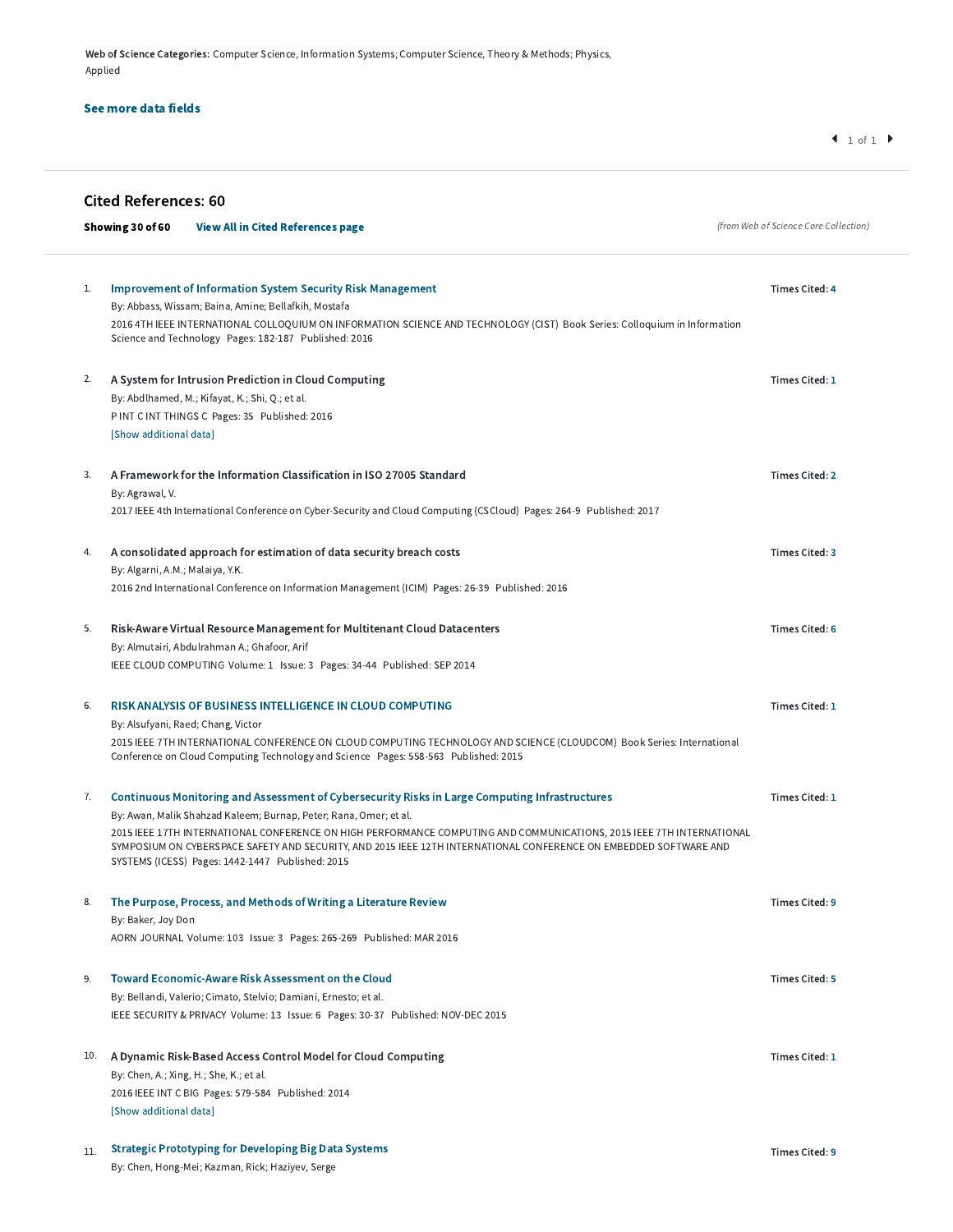Web of Science Categories: Computer Science, Information Systems; Computer Science, Theory & Methods; Physics, Applied

## See more data fields

|     | <b>Cited References: 60</b>                                                                                                                                                                                                                                                                    |                                       |
|-----|------------------------------------------------------------------------------------------------------------------------------------------------------------------------------------------------------------------------------------------------------------------------------------------------|---------------------------------------|
|     | Showing 30 of 60<br><b>View All in Cited References page</b>                                                                                                                                                                                                                                   | (from Web of Science Core Collection) |
|     |                                                                                                                                                                                                                                                                                                |                                       |
| 1.  | <b>Improvement of Information System Security Risk Management</b>                                                                                                                                                                                                                              | <b>Times Cited: 4</b>                 |
|     | By: Abbass, Wissam; Baina, Amine; Bellafkih, Mostafa                                                                                                                                                                                                                                           |                                       |
|     | 2016 4TH IEEE INTERNATIONAL COLLOQUIUM ON INFORMATION SCIENCE AND TECHNOLOGY (CIST) Book Series: Colloquium in Information<br>Science and Technology Pages: 182-187 Published: 2016                                                                                                            |                                       |
| 2.  | A System for Intrusion Prediction in Cloud Computing                                                                                                                                                                                                                                           | Times Cited: 1                        |
|     | By: Abdlhamed, M.; Kifayat, K.; Shi, Q.; et al.                                                                                                                                                                                                                                                |                                       |
|     | P INT C INT THINGS C Pages: 35 Published: 2016                                                                                                                                                                                                                                                 |                                       |
|     | [Show additional data]                                                                                                                                                                                                                                                                         |                                       |
| 3.  | A Framework for the Information Classification in ISO 27005 Standard                                                                                                                                                                                                                           | <b>Times Cited: 2</b>                 |
|     | By: Agrawal, V.                                                                                                                                                                                                                                                                                |                                       |
|     | 2017 IEEE 4th International Conference on Cyber-Security and Cloud Computing (CSCloud) Pages: 264-9 Published: 2017                                                                                                                                                                            |                                       |
| 4.  | A consolidated approach for estimation of data security breach costs                                                                                                                                                                                                                           | <b>Times Cited: 3</b>                 |
|     | By: Algarni, A.M.; Malaiya, Y.K.                                                                                                                                                                                                                                                               |                                       |
|     | 2016 2nd International Conference on Information Management (ICIM) Pages: 26-39 Published: 2016                                                                                                                                                                                                |                                       |
| 5.  | Risk-Aware Virtual Resource Management for Multitenant Cloud Datacenters                                                                                                                                                                                                                       | <b>Times Cited: 6</b>                 |
|     | By: Almutairi, Abdulrahman A.; Ghafoor, Arif                                                                                                                                                                                                                                                   |                                       |
|     | IEEE CLOUD COMPUTING Volume: 1 Issue: 3 Pages: 34-44 Published: SEP 2014                                                                                                                                                                                                                       |                                       |
| 6.  | <b>RISK ANALYSIS OF BUSINESS INTELLIGENCE IN CLOUD COMPUTING</b>                                                                                                                                                                                                                               | Times Cited: 1                        |
|     | By: Alsufyani, Raed; Chang, Victor                                                                                                                                                                                                                                                             |                                       |
|     | 2015 IEEE 7TH INTERNATIONAL CONFERENCE ON CLOUD COMPUTING TECHNOLOGY AND SCIENCE (CLOUDCOM) Book Series: International<br>Conference on Cloud Computing Technology and Science Pages: 558-563 Published: 2015                                                                                  |                                       |
| 7.  | Continuous Monitoring and Assessment of Cybersecurity Risks in Large Computing Infrastructures                                                                                                                                                                                                 | Times Cited: 1                        |
|     | By: Awan, Malik Shahzad Kaleem; Burnap, Peter; Rana, Omer; et al.                                                                                                                                                                                                                              |                                       |
|     | 2015 IEEE 17TH INTERNATIONAL CONFERENCE ON HIGH PERFORMANCE COMPUTING AND COMMUNICATIONS, 2015 IEEE 7TH INTERNATIONAL<br>SYMPOSIUM ON CYBERSPACE SAFETY AND SECURITY, AND 2015 IEEE 12TH INTERNATIONAL CONFERENCE ON EMBEDDED SOFTWARE AND<br>SYSTEMS (ICESS) Pages: 1442-1447 Published: 2015 |                                       |
| 8.  | The Purpose, Process, and Methods of Writing a Literature Review                                                                                                                                                                                                                               | Times Cited: 9                        |
|     | By: Baker, Joy Don                                                                                                                                                                                                                                                                             |                                       |
|     | AORN JOURNAL Volume: 103 Issue: 3 Pages: 265-269 Published: MAR 2016                                                                                                                                                                                                                           |                                       |
| 9.  | <b>Toward Economic-Aware Risk Assessment on the Cloud</b>                                                                                                                                                                                                                                      | Times Cited: 5                        |
|     | By: Bellandi, Valerio; Cimato, Stelvio; Damiani, Ernesto; et al.                                                                                                                                                                                                                               |                                       |
|     | IEEE SECURITY & PRIVACY Volume: 13 Issue: 6 Pages: 30-37 Published: NOV-DEC 2015                                                                                                                                                                                                               |                                       |
| 10. | A Dynamic Risk-Based Access Control Model for Cloud Computing                                                                                                                                                                                                                                  | <b>Times Cited: 1</b>                 |
|     | By: Chen, A.; Xing, H.; She, K.; et al.                                                                                                                                                                                                                                                        |                                       |
|     | 2016 IEEE INT C BIG Pages: 579-584 Published: 2014                                                                                                                                                                                                                                             |                                       |
|     | [Show additional data]                                                                                                                                                                                                                                                                         |                                       |
| 11. | <b>Strategic Prototyping for Developing Big Data Systems</b>                                                                                                                                                                                                                                   | Times Cited: 9                        |
|     | By: Chen, Hong-Mei; Kazman, Rick; Haziyev, Serge                                                                                                                                                                                                                                               |                                       |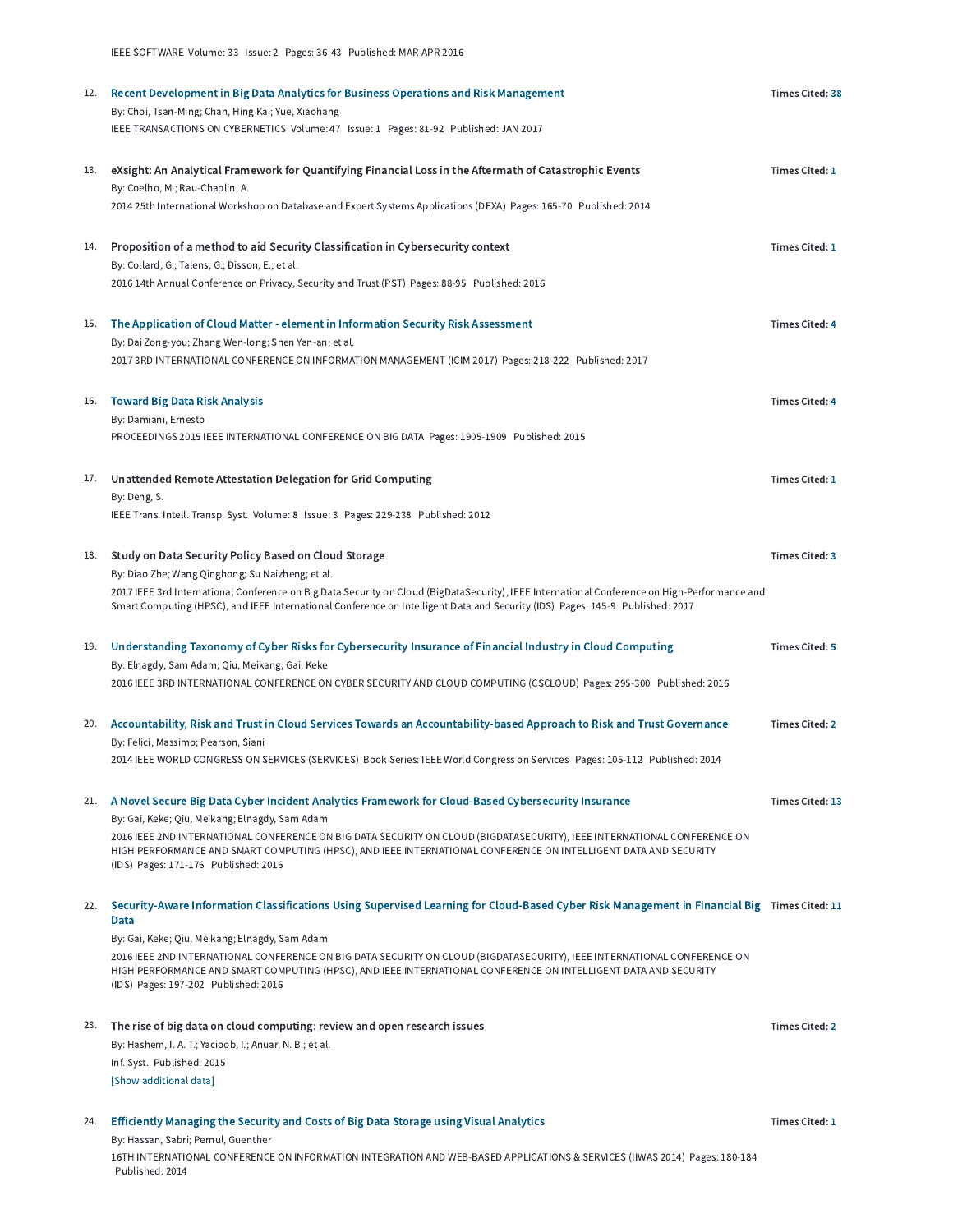|     | 12. Recent Development in Big Data Analytics for Business Operations and Risk Management<br>By: Choi, Tsan-Ming; Chan, Hing Kai; Yue, Xiaohang                                                                                              | <b>Times Cited: 38</b> |
|-----|---------------------------------------------------------------------------------------------------------------------------------------------------------------------------------------------------------------------------------------------|------------------------|
|     | IEEE TRANSACTIONS ON CYBERNETICS Volume: 47 Issue: 1 Pages: 81-92 Published: JAN 2017                                                                                                                                                       |                        |
|     |                                                                                                                                                                                                                                             |                        |
|     | 13. eXsight: An Analytical Framework for Quantifying Financial Loss in the Aftermath of Catastrophic Events                                                                                                                                 | <b>Times Cited: 1</b>  |
|     | By: Coelho, M.; Rau-Chaplin, A.<br>2014 25th International Workshop on Database and Expert Systems Applications (DEXA) Pages: 165-70 Published: 2014                                                                                        |                        |
|     |                                                                                                                                                                                                                                             |                        |
|     | 14. Proposition of a method to aid Security Classification in Cybersecurity context                                                                                                                                                         | <b>Times Cited: 1</b>  |
|     | By: Collard, G.; Talens, G.; Disson, E.; et al.                                                                                                                                                                                             |                        |
|     | 2016 14th Annual Conference on Privacy, Security and Trust (PST) Pages: 88-95 Published: 2016                                                                                                                                               |                        |
|     |                                                                                                                                                                                                                                             |                        |
|     | 15. The Application of Cloud Matter - element in Information Security Risk Assessment<br>By: Dai Zong-you; Zhang Wen-long; Shen Yan-an; et al.                                                                                              | <b>Times Cited: 4</b>  |
|     | 2017 3RD INTERNATIONAL CONFERENCE ON INFORMATION MANAGEMENT (ICIM 2017) Pages: 218-222 Published: 2017                                                                                                                                      |                        |
|     |                                                                                                                                                                                                                                             |                        |
|     | 16. Toward Big Data Risk Analysis                                                                                                                                                                                                           | <b>Times Cited: 4</b>  |
|     | By: Damiani, Ernesto<br>PROCEEDINGS 2015 IEEE INTERNATIONAL CONFERENCE ON BIG DATA Pages: 1905-1909 Published: 2015                                                                                                                         |                        |
|     |                                                                                                                                                                                                                                             |                        |
|     | 17. Unattended Remote Attestation Delegation for Grid Computing                                                                                                                                                                             | <b>Times Cited: 1</b>  |
|     | By: Deng, S.                                                                                                                                                                                                                                |                        |
|     | IEEE Trans. Intell. Transp. Syst. Volume: 8 Issue: 3 Pages: 229-238 Published: 2012                                                                                                                                                         |                        |
| 18. | Study on Data Security Policy Based on Cloud Storage                                                                                                                                                                                        | <b>Times Cited: 3</b>  |
|     | By: Diao Zhe; Wang Qinghong; Su Naizheng; et al.                                                                                                                                                                                            |                        |
|     | 2017 IEEE 3rd International Conference on Big Data Security on Cloud (BigDataSecurity), IEEE International Conference on High-Performance and                                                                                               |                        |
|     | Smart Computing (HPSC), and IEEE International Conference on Intelligent Data and Security (IDS) Pages: 145-9 Published: 2017                                                                                                               |                        |
|     | 19. Understanding Taxonomy of Cyber Risks for Cybersecurity Insurance of Financial Industry in Cloud Computing                                                                                                                              | <b>Times Cited: 5</b>  |
|     | By: Elnagdy, Sam Adam; Qiu, Meikang; Gai, Keke                                                                                                                                                                                              |                        |
|     | 2016 IEEE 3RD INTERNATIONAL CONFERENCE ON CYBER SECURITY AND CLOUD COMPUTING (CSCLOUD) Pages: 295-300 Published: 2016                                                                                                                       |                        |
|     |                                                                                                                                                                                                                                             |                        |
| 20. | Accountability, Risk and Trust in Cloud Services Towards an Accountability-based Approach to Risk and Trust Governance<br>By: Felici, Massimo; Pearson, Siani                                                                               | <b>Times Cited: 2</b>  |
|     | 2014 IEEE WORLD CONGRESS ON SERVICES (SERVICES) Book Series: IEEE World Congress on Services Pages: 105-112 Published: 2014                                                                                                                 |                        |
|     |                                                                                                                                                                                                                                             |                        |
|     | 21. A Novel Secure Big Data Cyber Incident Analytics Framework for Cloud-Based Cybersecurity Insurance                                                                                                                                      | Times Cited: 13        |
|     | By: Gai, Keke; Qiu, Meikang; Elnagdy, Sam Adam<br>2016 IEEE 2ND INTERNATIONAL CONFERENCE ON BIG DATA SECURITY ON CLOUD (BIGDATASECURITY), IEEE INTERNATIONAL CONFERENCE ON                                                                  |                        |
|     | HIGH PERFORMANCE AND SMART COMPUTING (HPSC), AND IEEE INTERNATIONAL CONFERENCE ON INTELLIGENT DATA AND SECURITY                                                                                                                             |                        |
|     | (IDS) Pages: 171-176 Published: 2016                                                                                                                                                                                                        |                        |
|     | 22. Security-Aware Information Classifications Using Supervised Learning for Cloud-Based Cyber Risk Management in Financial Big Times Cited: 11                                                                                             |                        |
|     | Data                                                                                                                                                                                                                                        |                        |
|     | By: Gai, Keke; Qiu, Meikang; Elnagdy, Sam Adam                                                                                                                                                                                              |                        |
|     | 2016 IEEE 2ND INTERNATIONAL CONFERENCE ON BIG DATA SECURITY ON CLOUD (BIGDATASECURITY), IEEE INTERNATIONAL CONFERENCE ON<br>HIGH PERFORMANCE AND SMART COMPUTING (HPSC), AND IEEE INTERNATIONAL CONFERENCE ON INTELLIGENT DATA AND SECURITY |                        |
|     | (IDS) Pages: 197-202 Published: 2016                                                                                                                                                                                                        |                        |
|     |                                                                                                                                                                                                                                             | <b>Times Cited: 2</b>  |
|     | 23. The rise of big data on cloud computing: review and open research issues<br>By: Hashem, I. A. T.; Yacioob, I.; Anuar, N. B.; et al.                                                                                                     |                        |
|     | Inf. Syst. Published: 2015                                                                                                                                                                                                                  |                        |
|     | [Show additional data]                                                                                                                                                                                                                      |                        |
|     |                                                                                                                                                                                                                                             |                        |
|     | 24. Efficiently Managing the Security and Costs of Big Data Storage using Visual Analytics<br>By: Hassan, Sabri; Pernul, Guenther                                                                                                           | Times Cited: 1         |
|     | 16TH INTERNATIONAL CONFERENCE ON INFORMATION INTEGRATION AND WEB-BASED APPLICATIONS & SERVICES (IIWAS 2014) Pages: 180-184                                                                                                                  |                        |
|     | Published: 2014                                                                                                                                                                                                                             |                        |

IEEE SOFTWARE Volume: 33 Issue: 2 Pages: 36-43 Published: MAR-APR 2016